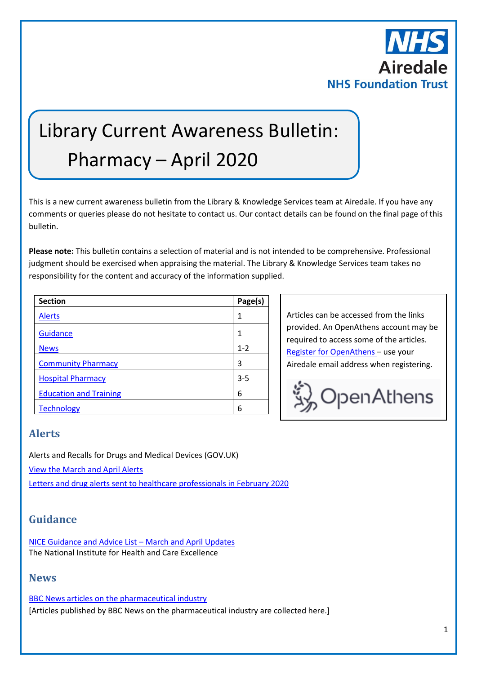

# Library Current Awareness Bulletin: Pharmacy – April 2020

This is a new current awareness bulletin from the Library & Knowledge Services team at Airedale. If you have any comments or queries please do not hesitate to contact us. Our contact details can be found on the final page of this bulletin.

**Please note:** This bulletin contains a selection of material and is not intended to be comprehensive. Professional judgment should be exercised when appraising the material. The Library & Knowledge Services team takes no responsibility for the content and accuracy of the information supplied.

| <b>Section</b>                | Page(s) |
|-------------------------------|---------|
| <b>Alerts</b>                 | 1       |
| Guidance                      | 1       |
| <b>News</b>                   | $1 - 2$ |
| <b>Community Pharmacy</b>     | 3       |
| <b>Hospital Pharmacy</b>      | $3 - 5$ |
| <b>Education and Training</b> | 6       |
| <b>Technology</b>             | 6       |

Articles can be accessed from the links provided. An OpenAthens account may be required to access some of the articles. [Register for OpenAthens](https://openathens.nice.org.uk/) – use your Airedale email address when registering.



## <span id="page-0-0"></span>**Alerts**

Alerts and Recalls for Drugs and Medical Devices (GOV.UK) [View the March and April Alerts](https://www.gov.uk/drug-device-alerts?issued_date%5Bfrom%5D=29%2F02%2F2020) [Letters and drug alerts sent to healthcare professionals in February 2020](https://www.gov.uk/drug-safety-update/letters-and-drug-alerts-sent-to-healthcare-professionals-in-february-2020)

# <span id="page-0-1"></span>**Guidance**

[NICE Guidance and Advice List](https://www.nice.org.uk/guidance/published?fromdate=March%202020&todate=April%202020) – March and April Updates The National Institute for Health and Care Excellence

## <span id="page-0-2"></span>**News**

[BBC News articles on the pharmaceutical industry](https://www.bbc.co.uk/news/topics/cg1lkvgedv8t/pharmaceutical-industry) [Articles published by BBC News on the pharmaceutical industry are collected here.]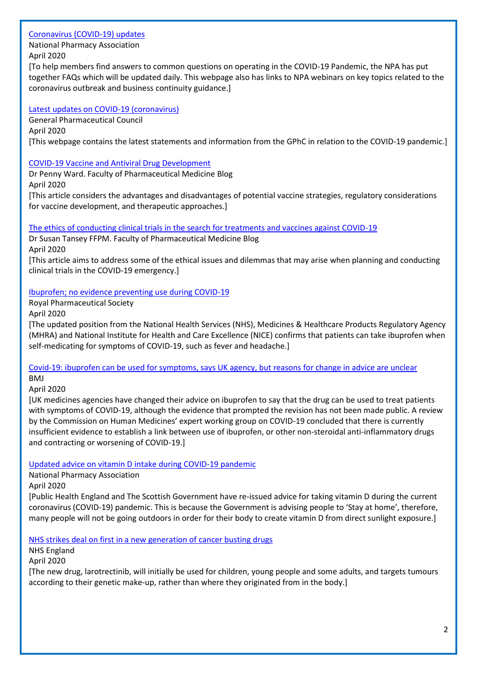#### [Coronavirus \(COVID-19\) updates](https://www.npa.co.uk/coronavirus-updates/)

National Pharmacy Association

April 2020

[To help members find answers to common questions on operating in the COVID-19 Pandemic, the NPA has put together FAQs which will be updated daily. This webpage also has links to NPA webinars on key topics related to the coronavirus outbreak and business continuity guidance.]

#### [Latest updates on COVID-19 \(coronavirus\)](https://www.pharmacyregulation.org/contact-us/coronavirus-latest-updates)

General Pharmaceutical Council April 2020 [This webpage contains the latest statements and information from the GPhC in relation to the COVID-19 pandemic.]

## [COVID-19 Vaccine and Antiviral Drug Development](https://www.fpm.org.uk/blog/covid-19-vaccine-and-antiviral-drug-development/)

Dr Penny Ward. Faculty of Pharmaceutical Medicine Blog April 2020

[This article considers the advantages and disadvantages of potential vaccine strategies, regulatory considerations for vaccine development, and therapeutic approaches.]

[The ethics of conducting clinical trials in the search for treatments and vaccines against COVID-19](https://www.fpm.org.uk/blog/the-ethics-of-conducting-clinical-trials-in-the-search-for-treatments-and-vaccines-against-covid-19/)

Dr Susan Tansey FFPM. Faculty of Pharmaceutical Medicine Blog April 2020

[This article aims to address some of the ethical issues and dilemmas that may arise when planning and conducting clinical trials in the COVID-19 emergency.]

## [Ibuprofen; no evidence preventing use during COVID-19](https://www.rpharms.com/about-us/news/details/rps-welcomes-news-that-there-is-no-proven-scientific-evidence-preventing-the-use-of-ibuprofen-in-treating-covid-19--symptoms-)

Royal Pharmaceutical Society

April 2020

[The updated position from the National Health Services (NHS), Medicines & Healthcare Products Regulatory Agency (MHRA) and National Institute for Health and Care Excellence (NICE) confirms that patients can take ibuprofen when self-medicating for symptoms of COVID-19, such as fever and headache.]

[Covid-19: ibuprofen can be used for symptoms, says UK agency, but reasons for change in advice are unclear](https://www.bmj.com/content/369/bmj.m1555)

BMJ

April 2020

[UK medicines agencies have changed their advice on ibuprofen to say that the drug can be used to treat patients with symptoms of COVID-19, although the evidence that prompted the revision has not been made public. A review by the Commission on Human Medicines' expert working group on COVID-19 concluded that there is currently insufficient evidence to establish a link between use of ibuprofen, or other non-steroidal anti-inflammatory drugs and contracting or worsening of COVID-19.]

[Updated advice on vitamin D intake during COVID-19 pandemic](https://www.npa.co.uk/news-and-events/news-item/updated-advice-on-vitamin-d-intake-during-covid-19-pandemic-2/)

National Pharmacy Association

April 2020

[Public Health England and The Scottish Government have re-issued advice for taking vitamin D during the current coronavirus (COVID-19) pandemic. This is because the Government is advising people to 'Stay at home', therefore, many people will not be going outdoors in order for their body to create vitamin D from direct sunlight exposure.]

[NHS strikes deal on first in a new generation of cancer busting drugs](https://www.england.nhs.uk/2020/04/nhs-strikes-deal-on-first-in-a-new-generation-of-cancer-busting-drugs/?utm_source=feedburner&utm_medium=email&utm_campaign=Feed%3A+NHSCBoard+(NHS+England))

NHS England

April 2020

[The new drug, larotrectinib, will initially be used for children, young people and some adults, and targets tumours according to their genetic make-up, rather than where they originated from in the body.]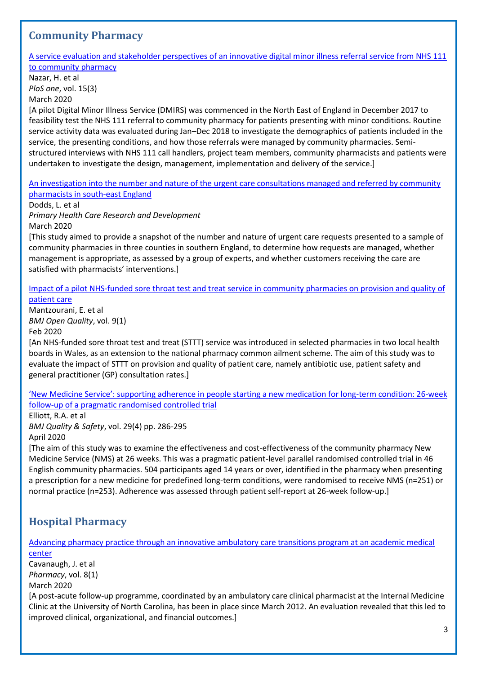## <span id="page-2-0"></span>**Community Pharmacy**

[A service evaluation and stakeholder perspectives of an innovative digital minor illness referral service from NHS 111](https://journals.plos.org/plosone/article?id=10.1371/journal.pone.0230343)  [to community pharmacy](https://journals.plos.org/plosone/article?id=10.1371/journal.pone.0230343)

Nazar, H. et al *PloS one*, vol. 15(3)

March 2020

[A pilot Digital Minor Illness Service (DMIRS) was commenced in the North East of England in December 2017 to feasibility test the NHS 111 referral to community pharmacy for patients presenting with minor conditions. Routine service activity data was evaluated during Jan–Dec 2018 to investigate the demographics of patients included in the service, the presenting conditions, and how those referrals were managed by community pharmacies. Semistructured interviews with NHS 111 call handlers, project team members, community pharmacists and patients were undertaken to investigate the design, management, implementation and delivery of the service.]

[An investigation into the number and nature of the urgent care consultations managed and referred by community](https://www.ncbi.nlm.nih.gov/pmc/articles/PMC7082713/)  [pharmacists in south-east England](https://www.ncbi.nlm.nih.gov/pmc/articles/PMC7082713/)

Dodds, L. et al

*Primary Health Care Research and Development* March 2020

[This study aimed to provide a snapshot of the number and nature of urgent care requests presented to a sample of community pharmacies in three counties in southern England, to determine how requests are managed, whether management is appropriate, as assessed by a group of experts, and whether customers receiving the care are satisfied with pharmacists' interventions.]

[Impact of a pilot NHS-funded sore throat test and treat service in community pharmacies on provision and quality of](https://bmjopenquality.bmj.com/content/9/1/e000833)  [patient care](https://bmjopenquality.bmj.com/content/9/1/e000833)

Mantzourani, E. et al *BMJ Open Quality*, vol. 9(1) Feb 2020

[An NHS-funded sore throat test and treat (STTT) service was introduced in selected pharmacies in two local health boards in Wales, as an extension to the national pharmacy common ailment scheme. The aim of this study was to evaluate the impact of STTT on provision and quality of patient care, namely antibiotic use, patient safety and general practitioner (GP) consultation rates.]

['New Medicine Service': supporting adherence in people starting a new medication for long](https://qualitysafety.bmj.com/content/29/4/286)-term condition: 26-week [follow-up of a pragmatic randomised controlled trial](https://qualitysafety.bmj.com/content/29/4/286)

Elliott, R.A. et al

*BMJ Quality & Safety*, vol. 29(4) pp. 286-295

April 2020

[The aim of this study was to examine the effectiveness and cost-effectiveness of the community pharmacy New Medicine Service (NMS) at 26 weeks. This was a pragmatic patient-level parallel randomised controlled trial in 46 English community pharmacies. 504 participants aged 14 years or over, identified in the pharmacy when presenting a prescription for a new medicine for predefined long-term conditions, were randomised to receive NMS (n=251) or normal practice (n=253). Adherence was assessed through patient self-report at 26-week follow-up.]

# <span id="page-2-1"></span>**Hospital Pharmacy**

[Advancing pharmacy practice through an innovative ambulatory care transitions program at an academic medical](https://www.mdpi.com/2226-4787/8/1/40)  [center](https://www.mdpi.com/2226-4787/8/1/40)

Cavanaugh, J. et al *Pharmacy*, vol. 8(1) March 2020

[A post-acute follow-up programme, coordinated by an ambulatory care clinical pharmacist at the Internal Medicine Clinic at the University of North Carolina, has been in place since March 2012. An evaluation revealed that this led to improved clinical, organizational, and financial outcomes.]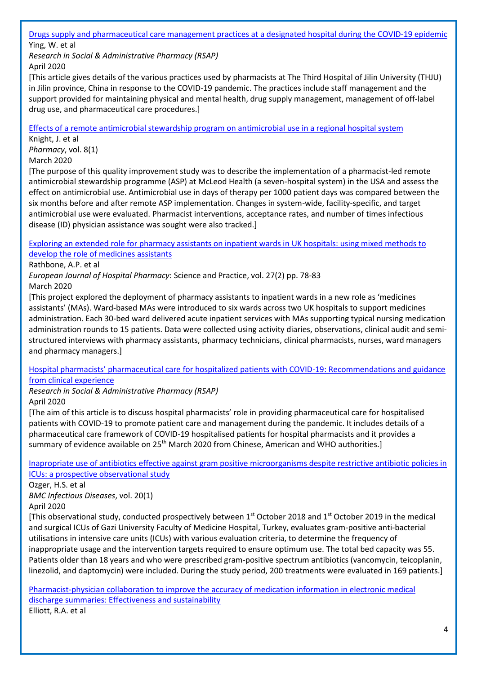[Drugs supply and pharmaceutical care management practices at a designated hospital during the COVID-19 epidemic](https://www.sciencedirect.com/science/article/pii/S1551741120303259?via%3Dihub)

Ying, W. et al

*Research in Social & Administrative Pharmacy (RSAP)* April 2020

[This article gives details of the various practices used by pharmacists at The Third Hospital of Jilin University (THJU) in Jilin province, China in response to the COVID-19 pandemic. The practices include staff management and the support provided for maintaining physical and mental health, drug supply management, management of off-label drug use, and pharmaceutical care procedures.]

[Effects of a remote antimicrobial stewardship program on antimicrobial use in a regional hospital system](https://www.mdpi.com/2226-4787/8/1/41)

Knight, J. et al *Pharmacy*, vol. 8(1)

March 2020

[The purpose of this quality improvement study was to describe the implementation of a pharmacist-led remote antimicrobial stewardship programme (ASP) at McLeod Health (a seven-hospital system) in the USA and assess the effect on antimicrobial use. Antimicrobial use in days of therapy per 1000 patient days was compared between the six months before and after remote ASP implementation. Changes in system-wide, facility-specific, and target antimicrobial use were evaluated. Pharmacist interventions, acceptance rates, and number of times infectious disease (ID) physician assistance was sought were also tracked.]

[Exploring an extended role for pharmacy assistants on inpatient wards in UK hospitals: using mixed methods to](http://dro.dur.ac.uk/26042/)  [develop the role of medicines assistants](http://dro.dur.ac.uk/26042/)

Rathbone, A.P. et al

*European Journal of Hospital Pharmacy*: Science and Practice, vol. 27(2) pp. 78-83

March 2020

[This project explored the deployment of pharmacy assistants to inpatient wards in a new role as 'medicines assistants' (MAs). Ward-based MAs were introduced to six wards across two UK hospitals to support medicines administration. Each 30-bed ward delivered acute inpatient services with MAs supporting typical nursing medication administration rounds to 15 patients. Data were collected using activity diaries, observations, clinical audit and semistructured interviews with pharmacy assistants, pharmacy technicians, clinical pharmacists, nurses, ward managers and pharmacy managers.]

[Hospital pharmacists' pharmaceutical care for hospitalized patients with COVID](https://www.sciencedirect.com/science/article/pii/S1551741120303144?via%3Dihub)-19: Recommendations and guidance [from clinical experience](https://www.sciencedirect.com/science/article/pii/S1551741120303144?via%3Dihub)

*Research in Social & Administrative Pharmacy (RSAP)* April 2020

[The aim of this article is to discuss hospital pharmacists' role in providing pharmaceutical care for hospitalised patients with COVID-19 to promote patient care and management during the pandemic. It includes details of a pharmaceutical care framework of COVID-19 hospitalised patients for hospital pharmacists and it provides a summary of evidence available on 25<sup>th</sup> March 2020 from Chinese, American and WHO authorities.]

[Inapropriate use of antibiotics effective against gram positive microorganisms despite restrictive antibiotic policies in](https://bmcinfectdis.biomedcentral.com/articles/10.1186/s12879-020-05005-7)  [ICUs: a prospective observational study](https://bmcinfectdis.biomedcentral.com/articles/10.1186/s12879-020-05005-7)

Ozger, H.S. et al *BMC Infectious Diseases*, vol. 20(1)

April 2020

[This observational study, conducted prospectively between 1<sup>st</sup> October 2018 and 1<sup>st</sup> October 2019 in the medical and surgical ICUs of Gazi University Faculty of Medicine Hospital, Turkey, evaluates gram-positive anti-bacterial utilisations in intensive care units (ICUs) with various evaluation criteria, to determine the frequency of inappropriate usage and the intervention targets required to ensure optimum use. The total bed capacity was 55. Patients older than 18 years and who were prescribed gram-positive spectrum antibiotics (vancomycin, teicoplanin, linezolid, and daptomycin) were included. During the study period, 200 treatments were evaluated in 169 patients.]

[Pharmacist-physician collaboration to improve the accuracy of medication information in electronic medical](https://www.mdpi.com/2226-4787/8/1/2)  [discharge summaries: Effectiveness and sustainability](https://www.mdpi.com/2226-4787/8/1/2)

Elliott, R.A. et al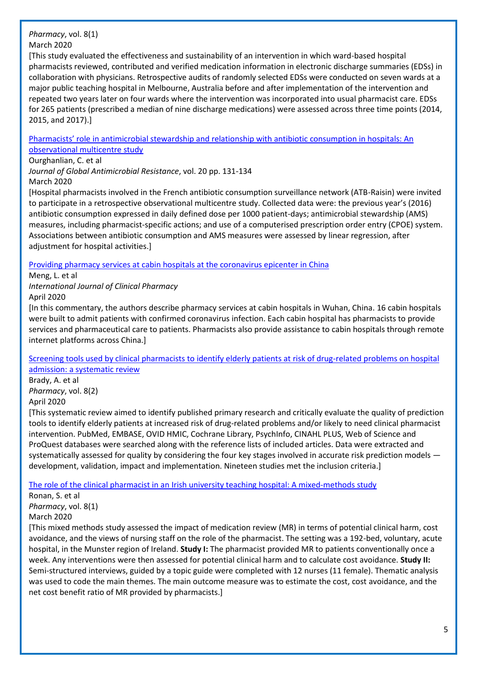*Pharmacy*, vol. 8(1)

March 2020

[This study evaluated the effectiveness and sustainability of an intervention in which ward-based hospital pharmacists reviewed, contributed and verified medication information in electronic discharge summaries (EDSs) in collaboration with physicians. Retrospective audits of randomly selected EDSs were conducted on seven wards at a major public teaching hospital in Melbourne, Australia before and after implementation of the intervention and repeated two years later on four wards where the intervention was incorporated into usual pharmacist care. EDSs for 265 patients (prescribed a median of nine discharge medications) were assessed across three time points (2014, 2015, and 2017).]

[Pharmacists' role in antimicrobial stewardship and relationship with antibiotic consumption in hospitals: An](https://www.sciencedirect.com/science/article/pii/S2213716519301754?via%3Dihub)  [observational multicentre study](https://www.sciencedirect.com/science/article/pii/S2213716519301754?via%3Dihub)

## Ourghanlian, C. et al

*Journal of Global Antimicrobial Resistance*, vol. 20 pp. 131-134 March 2020

[Hospital pharmacists involved in the French antibiotic consumption surveillance network (ATB-Raisin) were invited to participate in a retrospective observational multicentre study. Collected data were: the previous year's (2016) antibiotic consumption expressed in daily defined dose per 1000 patient-days; antimicrobial stewardship (AMS) measures, including pharmacist-specific actions; and use of a computerised prescription order entry (CPOE) system. Associations between antibiotic consumption and AMS measures were assessed by linear regression, after adjustment for hospital activities.]

[Providing pharmacy services at cabin hospitals at the coronavirus epicenter in China](https://link.springer.com/article/10.1007%2Fs11096-020-01020-5)

Meng, L. et al

*International Journal of Clinical Pharmacy*

April 2020

[In this commentary, the authors describe pharmacy services at cabin hospitals in Wuhan, China. 16 cabin hospitals were built to admit patients with confirmed coronavirus infection. Each cabin hospital has pharmacists to provide services and pharmaceutical care to patients. Pharmacists also provide assistance to cabin hospitals through remote internet platforms across China.]

[Screening tools used by clinical pharmacists to identify elderly patients at risk of drug-related problems on hospital](https://www.mdpi.com/2226-4787/8/2/64)  [admission: a systematic review](https://www.mdpi.com/2226-4787/8/2/64)

Brady, A. et al *Pharmacy*, vol. 8(2) April 2020

[This systematic review aimed to identify published primary research and critically evaluate the quality of prediction tools to identify elderly patients at increased risk of drug-related problems and/or likely to need clinical pharmacist intervention. PubMed, EMBASE, OVID HMIC, Cochrane Library, PsychInfo, CINAHL PLUS, Web of Science and ProQuest databases were searched along with the reference lists of included articles. Data were extracted and systematically assessed for quality by considering the four key stages involved in accurate risk prediction models development, validation, impact and implementation. Nineteen studies met the inclusion criteria.]

The role of the clinical pharmacist in an [Irish university teaching hospital: A mixed-methods study](https://www.mdpi.com/2226-4787/8/1/14)

Ronan, S. et al

*Pharmacy*, vol. 8(1)

March 2020

[This mixed methods study assessed the impact of medication review (MR) in terms of potential clinical harm, cost avoidance, and the views of nursing staff on the role of the pharmacist. The setting was a 192-bed, voluntary, acute hospital, in the Munster region of Ireland. **Study I:** The pharmacist provided MR to patients conventionally once a week. Any interventions were then assessed for potential clinical harm and to calculate cost avoidance. **Study II:** Semi-structured interviews, guided by a topic guide were completed with 12 nurses (11 female). Thematic analysis was used to code the main themes. The main outcome measure was to estimate the cost, cost avoidance, and the net cost benefit ratio of MR provided by pharmacists.]